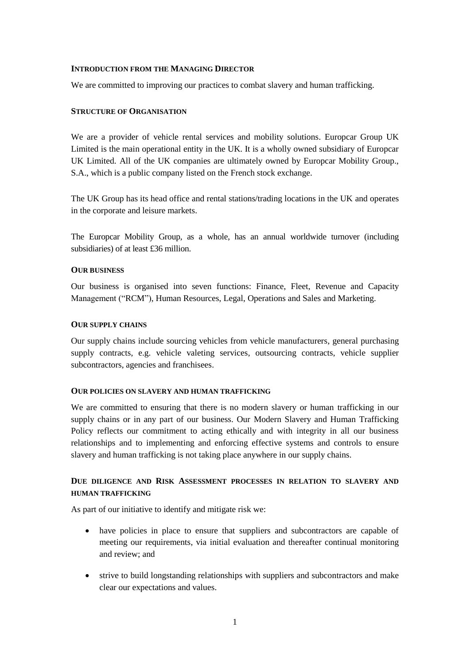### **INTRODUCTION FROM THE MANAGING DIRECTOR**

We are committed to improving our practices to combat slavery and human trafficking.

### **STRUCTURE OF ORGANISATION**

We are a provider of vehicle rental services and mobility solutions. Europcar Group UK Limited is the main operational entity in the UK. It is a wholly owned subsidiary of Europcar UK Limited. All of the UK companies are ultimately owned by Europcar Mobility Group., S.A., which is a public company listed on the French stock exchange.

The UK Group has its head office and rental stations/trading locations in the UK and operates in the corporate and leisure markets.

The Europcar Mobility Group, as a whole, has an annual worldwide turnover (including subsidiaries) of at least £36 million.

### **OUR BUSINESS**

Our business is organised into seven functions: Finance, Fleet, Revenue and Capacity Management ("RCM"), Human Resources, Legal, Operations and Sales and Marketing.

### **OUR SUPPLY CHAINS**

Our supply chains include sourcing vehicles from vehicle manufacturers, general purchasing supply contracts, e.g. vehicle valeting services, outsourcing contracts, vehicle supplier subcontractors, agencies and franchisees.

#### **OUR POLICIES ON SLAVERY AND HUMAN TRAFFICKING**

We are committed to ensuring that there is no modern slavery or human trafficking in our supply chains or in any part of our business. Our Modern Slavery and Human Trafficking Policy reflects our commitment to acting ethically and with integrity in all our business relationships and to implementing and enforcing effective systems and controls to ensure slavery and human trafficking is not taking place anywhere in our supply chains.

# **DUE DILIGENCE AND RISK ASSESSMENT PROCESSES IN RELATION TO SLAVERY AND HUMAN TRAFFICKING**

As part of our initiative to identify and mitigate risk we:

- have policies in place to ensure that suppliers and subcontractors are capable of meeting our requirements, via initial evaluation and thereafter continual monitoring and review; and
- strive to build longstanding relationships with suppliers and subcontractors and make clear our expectations and values.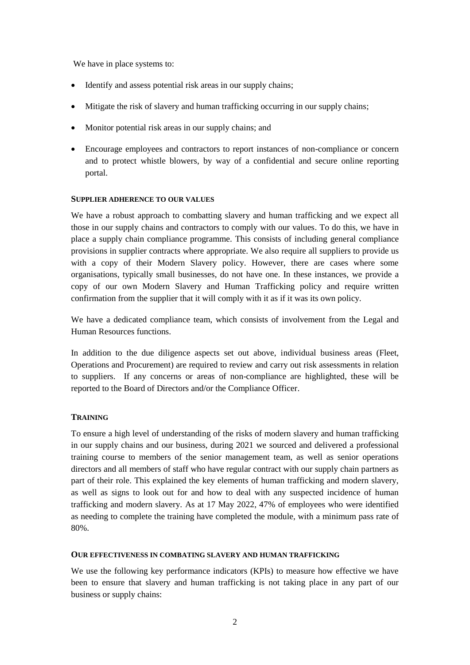We have in place systems to:

- Identify and assess potential risk areas in our supply chains;
- Mitigate the risk of slavery and human trafficking occurring in our supply chains;
- Monitor potential risk areas in our supply chains; and
- Encourage employees and contractors to report instances of non-compliance or concern and to protect whistle blowers, by way of a confidential and secure online reporting portal.

### **SUPPLIER ADHERENCE TO OUR VALUES**

We have a robust approach to combatting slavery and human trafficking and we expect all those in our supply chains and contractors to comply with our values. To do this, we have in place a supply chain compliance programme. This consists of including general compliance provisions in supplier contracts where appropriate. We also require all suppliers to provide us with a copy of their Modern Slavery policy. However, there are cases where some organisations, typically small businesses, do not have one. In these instances, we provide a copy of our own Modern Slavery and Human Trafficking policy and require written confirmation from the supplier that it will comply with it as if it was its own policy.

We have a dedicated compliance team, which consists of involvement from the Legal and Human Resources functions.

In addition to the due diligence aspects set out above, individual business areas (Fleet, Operations and Procurement) are required to review and carry out risk assessments in relation to suppliers. If any concerns or areas of non-compliance are highlighted, these will be reported to the Board of Directors and/or the Compliance Officer.

## **TRAINING**

To ensure a high level of understanding of the risks of modern slavery and human trafficking in our supply chains and our business, during 2021 we sourced and delivered a professional training course to members of the senior management team, as well as senior operations directors and all members of staff who have regular contract with our supply chain partners as part of their role. This explained the key elements of human trafficking and modern slavery, as well as signs to look out for and how to deal with any suspected incidence of human trafficking and modern slavery. As at 17 May 2022, 47% of employees who were identified as needing to complete the training have completed the module, with a minimum pass rate of 80%.

## **OUR EFFECTIVENESS IN COMBATING SLAVERY AND HUMAN TRAFFICKING**

We use the following key performance indicators (KPIs) to measure how effective we have been to ensure that slavery and human trafficking is not taking place in any part of our business or supply chains: